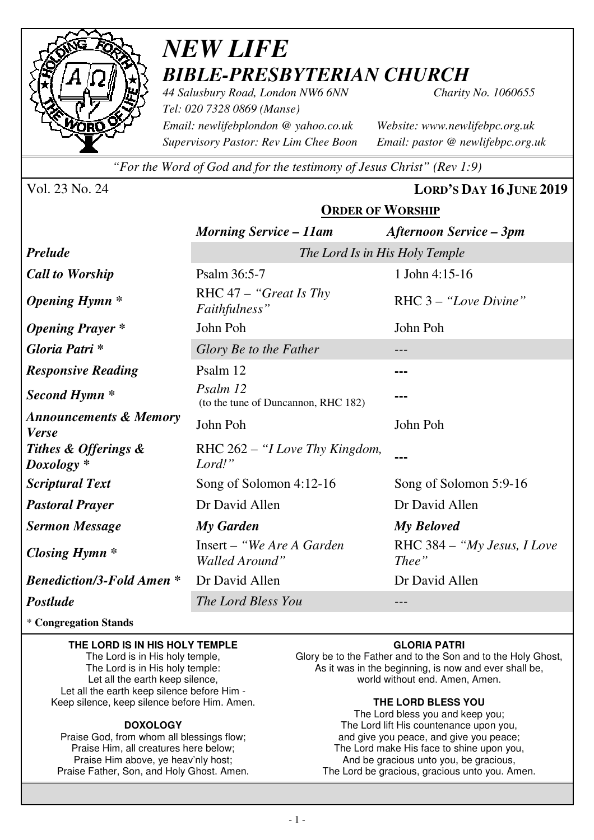

### *NEW LIFE BIBLE-PRESBYTERIAN CHURCH 44 Salusbury Road, London NW6 6NN Charity No. 1060655*

*Tel: 020 7328 0869 (Manse) Email: newlifebplondon @ yahoo.co.uk Website: www.newlifebpc.org.uk Supervisory Pastor: Rev Lim Chee Boon Email: pastor @ newlifebpc.org.uk* 

*"For the Word of God and for the testimony of Jesus Christ" (Rev 1:9)*

Vol. 23 No. 24 **LORD'S DAY 16 JUNE 2019**

|                                                   | <b>ORDER OF WORSHIP</b>                         |                                        |  |  |
|---------------------------------------------------|-------------------------------------------------|----------------------------------------|--|--|
|                                                   | <b>Morning Service - 11am</b>                   | <b>Afternoon Service – 3pm</b>         |  |  |
| <b>Prelude</b>                                    | The Lord Is in His Holy Temple                  |                                        |  |  |
| <b>Call to Worship</b>                            | Psalm 36:5-7                                    | 1 John 4:15-16                         |  |  |
| <b>Opening Hymn</b> *                             | RHC $47 -$ "Great Is Thy<br>Faithfulness"       | $RHC 3 - "Love Divine"$                |  |  |
| <b>Opening Prayer</b> *                           | John Poh<br>John Poh                            |                                        |  |  |
| Gloria Patri *                                    | Glory Be to the Father                          |                                        |  |  |
| <b>Responsive Reading</b>                         | Psalm 12                                        |                                        |  |  |
| Second Hymn <sup>*</sup>                          | Psalm 12<br>(to the tune of Duncannon, RHC 182) |                                        |  |  |
| <b>Announcements &amp; Memory</b><br><b>Verse</b> | John Poh                                        | John Poh                               |  |  |
| Tithes & Offerings &<br>Doxology <sup>*</sup>     | RHC 262 – "I Love Thy Kingdom,<br>Lord!"        |                                        |  |  |
| <b>Scriptural Text</b>                            | Song of Solomon 4:12-16                         | Song of Solomon 5:9-16                 |  |  |
| <b>Pastoral Prayer</b>                            | Dr David Allen                                  | Dr David Allen                         |  |  |
| <b>Sermon Message</b>                             | My Garden                                       | <b>My Beloved</b>                      |  |  |
| Closing Hymn $*$                                  | Insert – "We Are A Garden"<br>Walled Around"    | RHC $384 - "My Jesus, I Love$<br>Thee" |  |  |
| <b>Benediction/3-Fold Amen *</b>                  | Dr David Allen                                  | Dr David Allen                         |  |  |
| Postlude                                          | The Lord Bless You                              |                                        |  |  |

#### \* **Congregation Stands**

#### **THE LORD IS IN HIS HOLY TEMPLE**

The Lord is in His holy temple, The Lord is in His holy temple: Let all the earth keep silence, Let all the earth keep silence before Him - Keep silence, keep silence before Him. Amen.

#### **DOXOLOGY**

Praise God, from whom all blessings flow; Praise Him, all creatures here below; Praise Him above, ye heav'nly host; Praise Father, Son, and Holy Ghost. Amen.

#### **GLORIA PATRI**

Glory be to the Father and to the Son and to the Holy Ghost, As it was in the beginning, is now and ever shall be, world without end. Amen, Amen.

#### **THE LORD BLESS YOU**

The Lord bless you and keep you; The Lord lift His countenance upon you, and give you peace, and give you peace; The Lord make His face to shine upon you, And be gracious unto you, be gracious, The Lord be gracious, gracious unto you. Amen.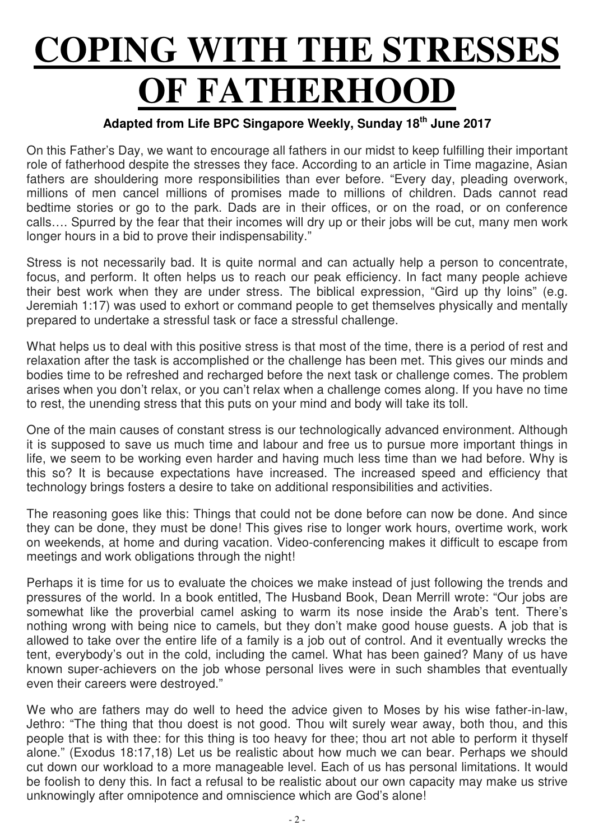# **COPING WITH THE STRESSES OF FATHERHOOD**

#### **Adapted from Life BPC Singapore Weekly, Sunday 18th June 2017**

On this Father's Day, we want to encourage all fathers in our midst to keep fulfilling their important role of fatherhood despite the stresses they face. According to an article in Time magazine, Asian fathers are shouldering more responsibilities than ever before. "Every day, pleading overwork, millions of men cancel millions of promises made to millions of children. Dads cannot read bedtime stories or go to the park. Dads are in their offices, or on the road, or on conference calls…. Spurred by the fear that their incomes will dry up or their jobs will be cut, many men work longer hours in a bid to prove their indispensability."

Stress is not necessarily bad. It is quite normal and can actually help a person to concentrate, focus, and perform. It often helps us to reach our peak efficiency. In fact many people achieve their best work when they are under stress. The biblical expression, "Gird up thy loins" (e.g. Jeremiah 1:17) was used to exhort or command people to get themselves physically and mentally prepared to undertake a stressful task or face a stressful challenge.

What helps us to deal with this positive stress is that most of the time, there is a period of rest and relaxation after the task is accomplished or the challenge has been met. This gives our minds and bodies time to be refreshed and recharged before the next task or challenge comes. The problem arises when you don't relax, or you can't relax when a challenge comes along. If you have no time to rest, the unending stress that this puts on your mind and body will take its toll.

One of the main causes of constant stress is our technologically advanced environment. Although it is supposed to save us much time and labour and free us to pursue more important things in life, we seem to be working even harder and having much less time than we had before. Why is this so? It is because expectations have increased. The increased speed and efficiency that technology brings fosters a desire to take on additional responsibilities and activities.

The reasoning goes like this: Things that could not be done before can now be done. And since they can be done, they must be done! This gives rise to longer work hours, overtime work, work on weekends, at home and during vacation. Video-conferencing makes it difficult to escape from meetings and work obligations through the night!

Perhaps it is time for us to evaluate the choices we make instead of just following the trends and pressures of the world. In a book entitled, The Husband Book, Dean Merrill wrote: "Our jobs are somewhat like the proverbial camel asking to warm its nose inside the Arab's tent. There's nothing wrong with being nice to camels, but they don't make good house guests. A job that is allowed to take over the entire life of a family is a job out of control. And it eventually wrecks the tent, everybody's out in the cold, including the camel. What has been gained? Many of us have known super-achievers on the job whose personal lives were in such shambles that eventually even their careers were destroyed."

We who are fathers may do well to heed the advice given to Moses by his wise father-in-law, Jethro: "The thing that thou doest is not good. Thou wilt surely wear away, both thou, and this people that is with thee: for this thing is too heavy for thee; thou art not able to perform it thyself alone." (Exodus 18:17,18) Let us be realistic about how much we can bear. Perhaps we should cut down our workload to a more manageable level. Each of us has personal limitations. It would be foolish to deny this. In fact a refusal to be realistic about our own capacity may make us strive unknowingly after omnipotence and omniscience which are God's alone!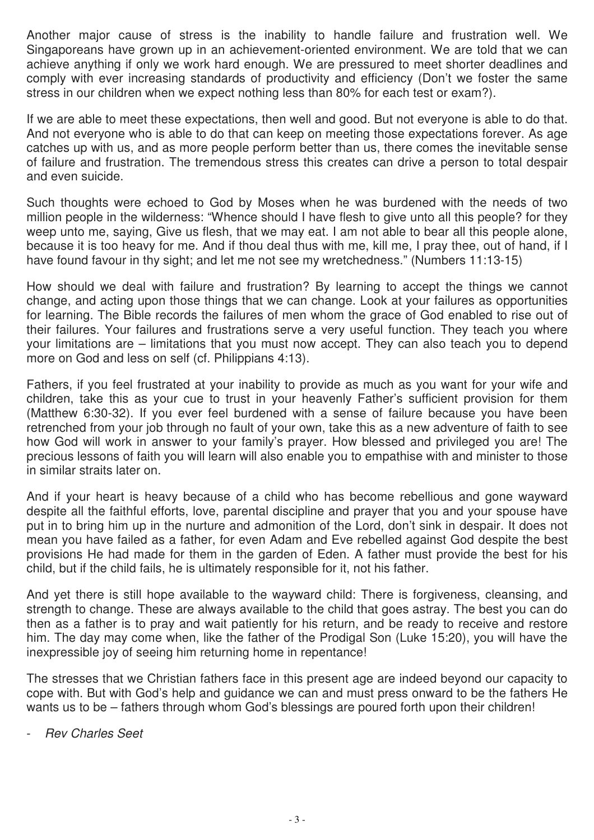Another major cause of stress is the inability to handle failure and frustration well. We Singaporeans have grown up in an achievement-oriented environment. We are told that we can achieve anything if only we work hard enough. We are pressured to meet shorter deadlines and comply with ever increasing standards of productivity and efficiency (Don't we foster the same stress in our children when we expect nothing less than 80% for each test or exam?).

If we are able to meet these expectations, then well and good. But not everyone is able to do that. And not everyone who is able to do that can keep on meeting those expectations forever. As age catches up with us, and as more people perform better than us, there comes the inevitable sense of failure and frustration. The tremendous stress this creates can drive a person to total despair and even suicide.

Such thoughts were echoed to God by Moses when he was burdened with the needs of two million people in the wilderness: "Whence should I have flesh to give unto all this people? for they weep unto me, saying, Give us flesh, that we may eat. I am not able to bear all this people alone, because it is too heavy for me. And if thou deal thus with me, kill me, I pray thee, out of hand, if I have found favour in thy sight; and let me not see my wretchedness." (Numbers 11:13-15)

How should we deal with failure and frustration? By learning to accept the things we cannot change, and acting upon those things that we can change. Look at your failures as opportunities for learning. The Bible records the failures of men whom the grace of God enabled to rise out of their failures. Your failures and frustrations serve a very useful function. They teach you where your limitations are – limitations that you must now accept. They can also teach you to depend more on God and less on self (cf. Philippians 4:13).

Fathers, if you feel frustrated at your inability to provide as much as you want for your wife and children, take this as your cue to trust in your heavenly Father's sufficient provision for them (Matthew 6:30-32). If you ever feel burdened with a sense of failure because you have been retrenched from your job through no fault of your own, take this as a new adventure of faith to see how God will work in answer to your family's prayer. How blessed and privileged you are! The precious lessons of faith you will learn will also enable you to empathise with and minister to those in similar straits later on.

And if your heart is heavy because of a child who has become rebellious and gone wayward despite all the faithful efforts, love, parental discipline and prayer that you and your spouse have put in to bring him up in the nurture and admonition of the Lord, don't sink in despair. It does not mean you have failed as a father, for even Adam and Eve rebelled against God despite the best provisions He had made for them in the garden of Eden. A father must provide the best for his child, but if the child fails, he is ultimately responsible for it, not his father.

And yet there is still hope available to the wayward child: There is forgiveness, cleansing, and strength to change. These are always available to the child that goes astray. The best you can do then as a father is to pray and wait patiently for his return, and be ready to receive and restore him. The day may come when, like the father of the Prodigal Son (Luke 15:20), you will have the inexpressible joy of seeing him returning home in repentance!

The stresses that we Christian fathers face in this present age are indeed beyond our capacity to cope with. But with God's help and guidance we can and must press onward to be the fathers He wants us to be – fathers through whom God's blessings are poured forth upon their children!

- Rev Charles Seet